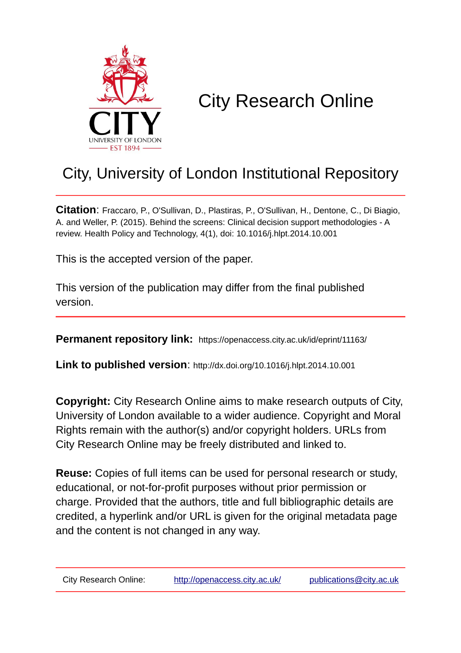

# City Research Online

# City, University of London Institutional Repository

**Citation**: Fraccaro, P., O'Sullivan, D., Plastiras, P., O'Sullivan, H., Dentone, C., Di Biagio, A. and Weller, P. (2015). Behind the screens: Clinical decision support methodologies - A review. Health Policy and Technology, 4(1), doi: 10.1016/j.hlpt.2014.10.001

This is the accepted version of the paper.

This version of the publication may differ from the final published version.

**Permanent repository link:** https://openaccess.city.ac.uk/id/eprint/11163/

**Link to published version**: http://dx.doi.org/10.1016/j.hlpt.2014.10.001

**Copyright:** City Research Online aims to make research outputs of City, University of London available to a wider audience. Copyright and Moral Rights remain with the author(s) and/or copyright holders. URLs from City Research Online may be freely distributed and linked to.

**Reuse:** Copies of full items can be used for personal research or study, educational, or not-for-profit purposes without prior permission or charge. Provided that the authors, title and full bibliographic details are credited, a hyperlink and/or URL is given for the original metadata page and the content is not changed in any way.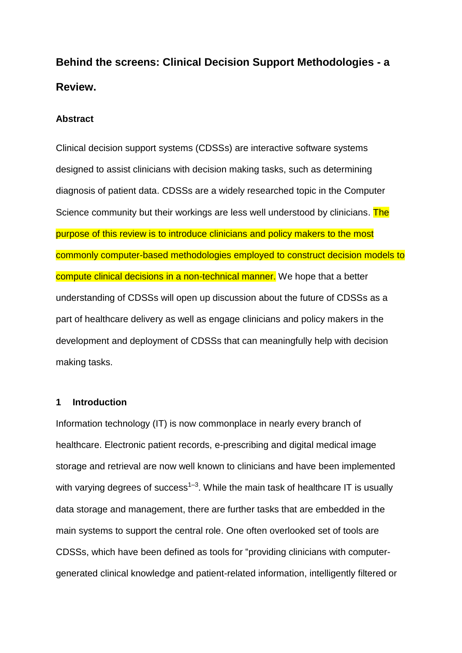**Behind the screens: Clinical Decision Support Methodologies - a Review.**

# **Abstract**

Clinical decision support systems (CDSSs) are interactive software systems designed to assist clinicians with decision making tasks, such as determining diagnosis of patient data. CDSSs are a widely researched topic in the Computer Science community but their workings are less well understood by clinicians. The purpose of this review is to introduce clinicians and policy makers to the most commonly computer-based methodologies employed to construct decision models to compute clinical decisions in a non-technical manner. We hope that a better understanding of CDSSs will open up discussion about the future of CDSSs as a part of healthcare delivery as well as engage clinicians and policy makers in the development and deployment of CDSSs that can meaningfully help with decision making tasks.

# **1 Introduction**

Information technology (IT) is now commonplace in nearly every branch of healthcare. Electronic patient records, e-prescribing and digital medical image storage and retrieval are now well known to clinicians and have been implemented with varying degrees of success<sup>1–3</sup>. While the main task of healthcare IT is usually data storage and management, there are further tasks that are embedded in the main systems to support the central role. One often overlooked set of tools are CDSSs, which have been defined as tools for "providing clinicians with computergenerated clinical knowledge and patient-related information, intelligently filtered or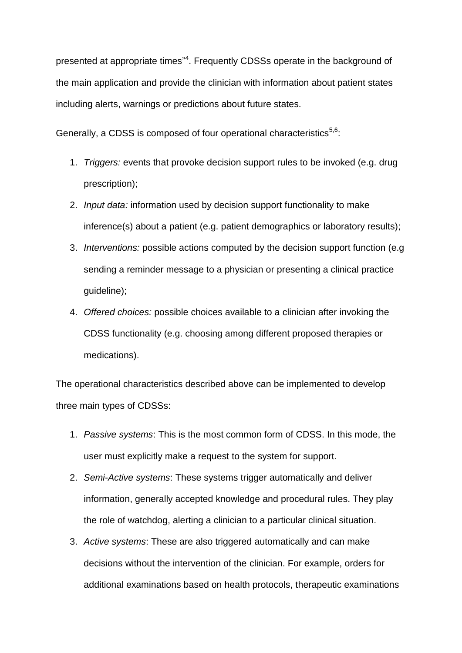presented at appropriate times"<sup>4</sup>. Frequently CDSSs operate in the background of the main application and provide the clinician with information about patient states including alerts, warnings or predictions about future states.

Generally, a CDSS is composed of four operational characteristics<sup>5,6</sup>:

- 1. *Triggers:* events that provoke decision support rules to be invoked (e.g. drug prescription);
- 2. *Input data:* information used by decision support functionality to make inference(s) about a patient (e.g. patient demographics or laboratory results);
- 3. *Interventions:* possible actions computed by the decision support function (e.g sending a reminder message to a physician or presenting a clinical practice guideline);
- 4. *Offered choices:* possible choices available to a clinician after invoking the CDSS functionality (e.g. choosing among different proposed therapies or medications).

The operational characteristics described above can be implemented to develop three main types of CDSSs:

- 1. *Passive systems*: This is the most common form of CDSS. In this mode, the user must explicitly make a request to the system for support.
- 2. *Semi-Active systems*: These systems trigger automatically and deliver information, generally accepted knowledge and procedural rules. They play the role of watchdog, alerting a clinician to a particular clinical situation.
- 3. *Active systems*: These are also triggered automatically and can make decisions without the intervention of the clinician. For example, orders for additional examinations based on health protocols, therapeutic examinations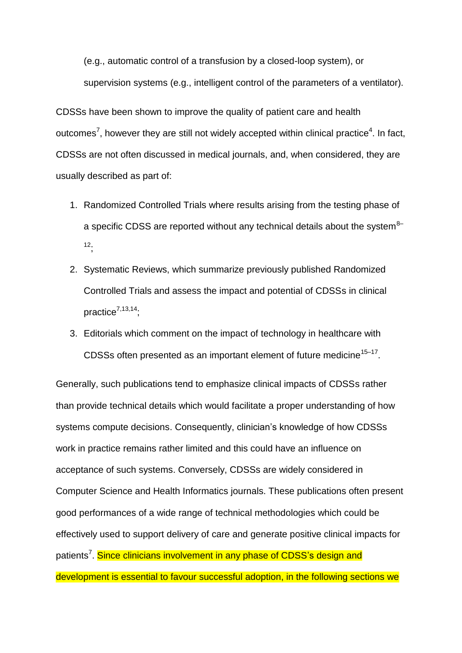(e.g., automatic control of a transfusion by a closed-loop system), or supervision systems (e.g., intelligent control of the parameters of a ventilator).

CDSSs have been shown to improve the quality of patient care and health outcomes<sup>7</sup>, however they are still not widely accepted within clinical practice<sup>4</sup>. In fact, CDSSs are not often discussed in medical journals, and, when considered, they are usually described as part of:

- 1. Randomized Controlled Trials where results arising from the testing phase of a specific CDSS are reported without any technical details about the system  $8-$ <sup>12</sup>;
- 2. Systematic Reviews, which summarize previously published Randomized Controlled Trials and assess the impact and potential of CDSSs in clinical practice<sup>7,13,14</sup>;
- 3. Editorials which comment on the impact of technology in healthcare with CDSSs often presented as an important element of future medicine<sup>15-17</sup>.

Generally, such publications tend to emphasize clinical impacts of CDSSs rather than provide technical details which would facilitate a proper understanding of how systems compute decisions. Consequently, clinician's knowledge of how CDSSs work in practice remains rather limited and this could have an influence on acceptance of such systems. Conversely, CDSSs are widely considered in Computer Science and Health Informatics journals. These publications often present good performances of a wide range of technical methodologies which could be effectively used to support delivery of care and generate positive clinical impacts for patients<sup>7</sup>. Since clinicians involvement in any phase of CDSS's design and development is essential to favour successful adoption, in the following sections we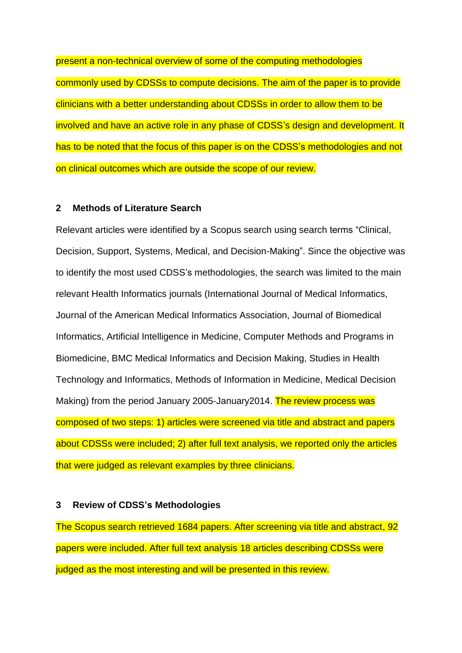present a non-technical overview of some of the computing methodologies commonly used by CDSSs to compute decisions. The aim of the paper is to provide clinicians with a better understanding about CDSSs in order to allow them to be involved and have an active role in any phase of CDSS's design and development. It has to be noted that the focus of this paper is on the CDSS's methodologies and not on clinical outcomes which are outside the scope of our review.

# **2 Methods of Literature Search**

Relevant articles were identified by a Scopus search using search terms "Clinical, Decision, Support, Systems, Medical, and Decision-Making". Since the objective was to identify the most used CDSS's methodologies, the search was limited to the main relevant Health Informatics journals (International Journal of Medical Informatics, Journal of the American Medical Informatics Association, Journal of Biomedical Informatics, Artificial Intelligence in Medicine, Computer Methods and Programs in Biomedicine, BMC Medical Informatics and Decision Making, Studies in Health Technology and Informatics, Methods of Information in Medicine, Medical Decision Making) from the period January 2005-January 2014. The review process was composed of two steps: 1) articles were screened via title and abstract and papers about CDSSs were included; 2) after full text analysis, we reported only the articles that were judged as relevant examples by three clinicians.

#### **3 Review of CDSS's Methodologies**

The Scopus search retrieved 1684 papers. After screening via title and abstract, 92 papers were included. After full text analysis 18 articles describing CDSSs were judged as the most interesting and will be presented in this review.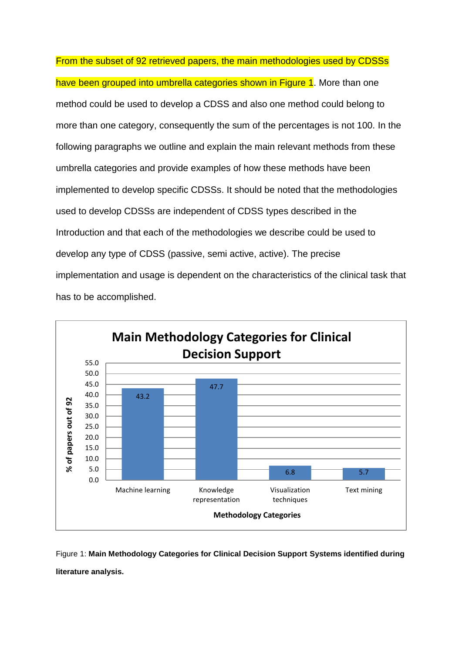From the subset of 92 retrieved papers, the main methodologies used by CDSSs have been grouped into umbrella categories shown in Figure 1. More than one method could be used to develop a CDSS and also one method could belong to more than one category, consequently the sum of the percentages is not 100. In the following paragraphs we outline and explain the main relevant methods from these umbrella categories and provide examples of how these methods have been implemented to develop specific CDSSs. It should be noted that the methodologies used to develop CDSSs are independent of CDSS types described in the Introduction and that each of the methodologies we describe could be used to develop any type of CDSS (passive, semi active, active). The precise implementation and usage is dependent on the characteristics of the clinical task that has to be accomplished.



Figure 1: **Main Methodology Categories for Clinical Decision Support Systems identified during literature analysis.**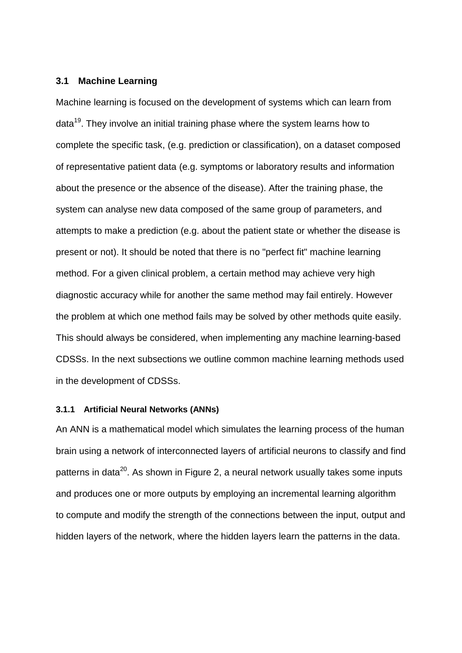# **3.1 Machine Learning**

Machine learning is focused on the development of systems which can learn from data<sup>19</sup>. They involve an initial training phase where the system learns how to complete the specific task, (e.g. prediction or classification), on a dataset composed of representative patient data (e.g. symptoms or laboratory results and information about the presence or the absence of the disease). After the training phase, the system can analyse new data composed of the same group of parameters, and attempts to make a prediction (e.g. about the patient state or whether the disease is present or not). It should be noted that there is no "perfect fit" machine learning method. For a given clinical problem, a certain method may achieve very high diagnostic accuracy while for another the same method may fail entirely. However the problem at which one method fails may be solved by other methods quite easily. This should always be considered, when implementing any machine learning-based CDSSs. In the next subsections we outline common machine learning methods used in the development of CDSSs.

#### **3.1.1 Artificial Neural Networks (ANNs)**

An ANN is a mathematical model which simulates the learning process of the human brain using a network of interconnected layers of artificial neurons to classify and find patterns in data<sup>20</sup>. As shown in Figure 2, a neural network usually takes some inputs and produces one or more outputs by employing an incremental learning algorithm to compute and modify the strength of the connections between the input, output and hidden layers of the network, where the hidden layers learn the patterns in the data.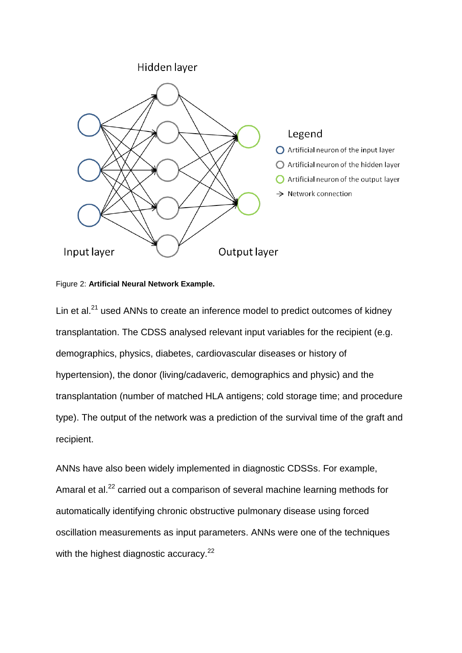

### Figure 2: **Artificial Neural Network Example.**

Lin et al. $21$  used ANNs to create an inference model to predict outcomes of kidney transplantation. The CDSS analysed relevant input variables for the recipient (e.g. demographics, physics, diabetes, cardiovascular diseases or history of hypertension), the donor (living/cadaveric, demographics and physic) and the transplantation (number of matched HLA antigens; cold storage time; and procedure type). The output of the network was a prediction of the survival time of the graft and recipient.

ANNs have also been widely implemented in diagnostic CDSSs. For example, Amaral et al.<sup>22</sup> carried out a comparison of several machine learning methods for automatically identifying chronic obstructive pulmonary disease using forced oscillation measurements as input parameters. ANNs were one of the techniques with the highest diagnostic accuracy.<sup>22</sup>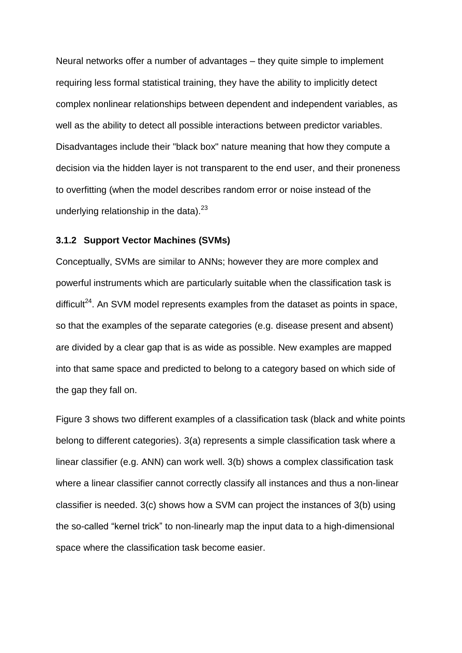Neural networks offer a number of advantages – they quite simple to implement requiring less formal statistical training, they have the ability to implicitly detect complex nonlinear relationships between dependent and independent variables, as well as the ability to detect all possible interactions between predictor variables. Disadvantages include their "black box" nature meaning that how they compute a decision via the hidden layer is not transparent to the end user, and their proneness to overfitting (when the model describes random error or noise instead of the underlying relationship in the data).<sup>23</sup>

# **3.1.2 Support Vector Machines (SVMs)**

Conceptually, SVMs are similar to ANNs; however they are more complex and powerful instruments which are particularly suitable when the classification task is difficult<sup>24</sup>. An SVM model represents examples from the dataset as points in space, so that the examples of the separate categories (e.g. disease present and absent) are divided by a clear gap that is as wide as possible. New examples are mapped into that same space and predicted to belong to a category based on which side of the gap they fall on.

Figure 3 shows two different examples of a classification task (black and white points belong to different categories). 3(a) represents a simple classification task where a linear classifier (e.g. ANN) can work well. 3(b) shows a complex classification task where a linear classifier cannot correctly classify all instances and thus a non-linear classifier is needed. 3(c) shows how a SVM can project the instances of 3(b) using the so-called "kernel trick" to non-linearly map the input data to a high-dimensional space where the classification task become easier.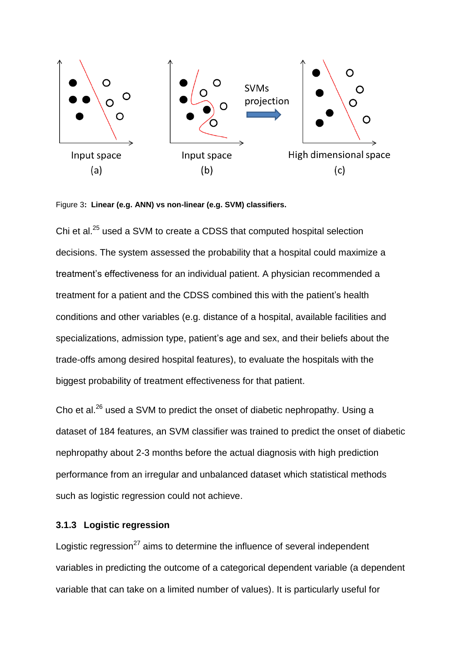

Figure 3**: Linear (e.g. ANN) vs non-linear (e.g. SVM) classifiers.**

Chi et al.<sup>25</sup> used a SVM to create a CDSS that computed hospital selection decisions. The system assessed the probability that a hospital could maximize a treatment's effectiveness for an individual patient. A physician recommended a treatment for a patient and the CDSS combined this with the patient's health conditions and other variables (e.g. distance of a hospital, available facilities and specializations, admission type, patient's age and sex, and their beliefs about the trade-offs among desired hospital features), to evaluate the hospitals with the biggest probability of treatment effectiveness for that patient.

Cho et al.<sup>26</sup> used a SVM to predict the onset of diabetic nephropathy. Using a dataset of 184 features, an SVM classifier was trained to predict the onset of diabetic nephropathy about 2-3 months before the actual diagnosis with high prediction performance from an irregular and unbalanced dataset which statistical methods such as logistic regression could not achieve.

# **3.1.3 Logistic regression**

Logistic regression<sup>27</sup> aims to determine the influence of several independent variables in predicting the outcome of a categorical dependent variable (a dependent variable that can take on a limited number of values). It is particularly useful for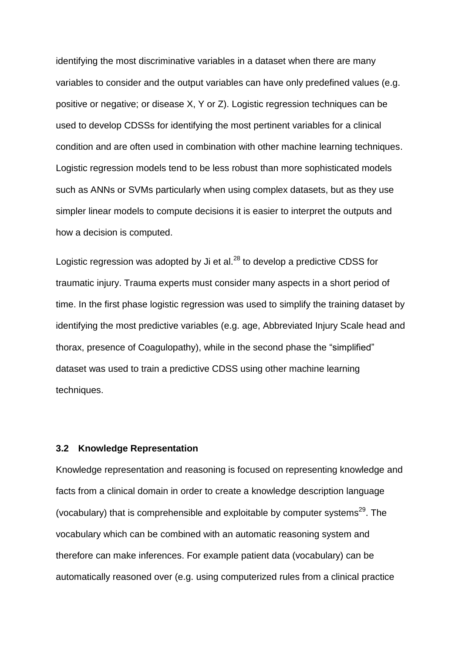identifying the most discriminative variables in a dataset when there are many variables to consider and the output variables can have only predefined values (e.g. positive or negative; or disease X, Y or Z). Logistic regression techniques can be used to develop CDSSs for identifying the most pertinent variables for a clinical condition and are often used in combination with other machine learning techniques. Logistic regression models tend to be less robust than more sophisticated models such as ANNs or SVMs particularly when using complex datasets, but as they use simpler linear models to compute decisions it is easier to interpret the outputs and how a decision is computed.

Logistic regression was adopted by Ji et al. $^{28}$  to develop a predictive CDSS for traumatic injury. Trauma experts must consider many aspects in a short period of time. In the first phase logistic regression was used to simplify the training dataset by identifying the most predictive variables (e.g. age, Abbreviated Injury Scale head and thorax, presence of Coagulopathy), while in the second phase the "simplified" dataset was used to train a predictive CDSS using other machine learning techniques.

# **3.2 Knowledge Representation**

Knowledge representation and reasoning is focused on representing knowledge and facts from a clinical domain in order to create a knowledge description language (vocabulary) that is comprehensible and exploitable by computer systems $^{29}$ . The vocabulary which can be combined with an automatic reasoning system and therefore can make inferences. For example patient data (vocabulary) can be automatically reasoned over (e.g. using computerized rules from a clinical practice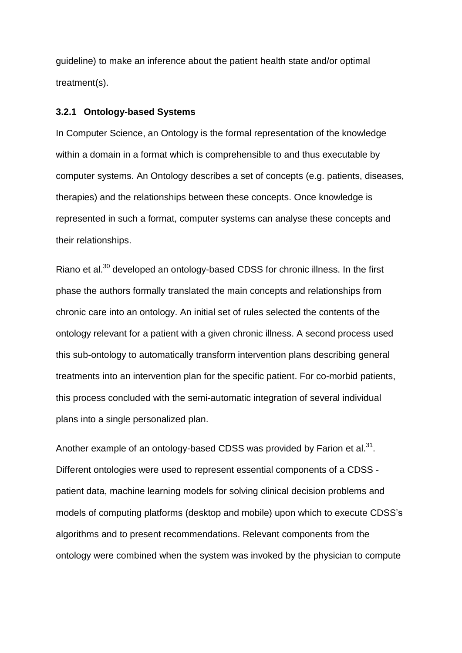guideline) to make an inference about the patient health state and/or optimal treatment(s).

# **3.2.1 Ontology-based Systems**

In Computer Science, an Ontology is the formal representation of the knowledge within a domain in a format which is comprehensible to and thus executable by computer systems. An Ontology describes a set of concepts (e.g. patients, diseases, therapies) and the relationships between these concepts. Once knowledge is represented in such a format, computer systems can analyse these concepts and their relationships.

Riano et al.<sup>30</sup> developed an ontology-based CDSS for chronic illness. In the first phase the authors formally translated the main concepts and relationships from chronic care into an ontology. An initial set of rules selected the contents of the ontology relevant for a patient with a given chronic illness. A second process used this sub-ontology to automatically transform intervention plans describing general treatments into an intervention plan for the specific patient. For co-morbid patients, this process concluded with the semi-automatic integration of several individual plans into a single personalized plan.

Another example of an ontology-based CDSS was provided by Farion et al. $^{31}$ . Different ontologies were used to represent essential components of a CDSS patient data, machine learning models for solving clinical decision problems and models of computing platforms (desktop and mobile) upon which to execute CDSS's algorithms and to present recommendations. Relevant components from the ontology were combined when the system was invoked by the physician to compute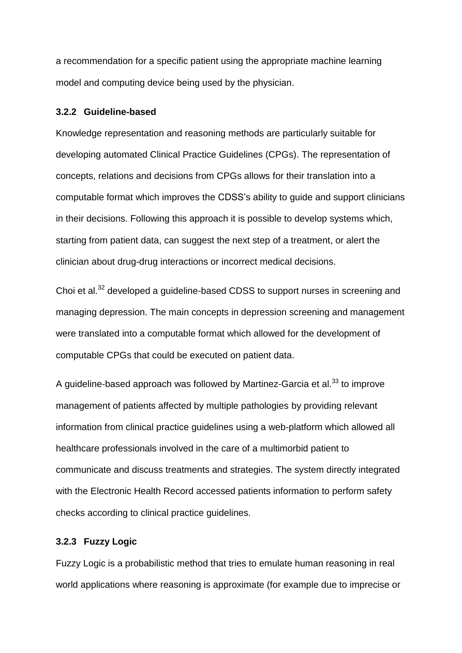a recommendation for a specific patient using the appropriate machine learning model and computing device being used by the physician.

#### **3.2.2 Guideline-based**

Knowledge representation and reasoning methods are particularly suitable for developing automated Clinical Practice Guidelines (CPGs). The representation of concepts, relations and decisions from CPGs allows for their translation into a computable format which improves the CDSS's ability to guide and support clinicians in their decisions. Following this approach it is possible to develop systems which, starting from patient data, can suggest the next step of a treatment, or alert the clinician about drug-drug interactions or incorrect medical decisions.

Choi et al.<sup>32</sup> developed a guideline-based CDSS to support nurses in screening and managing depression. The main concepts in depression screening and management were translated into a computable format which allowed for the development of computable CPGs that could be executed on patient data.

A guideline-based approach was followed by Martinez-Garcia et al.<sup>33</sup> to improve management of patients affected by multiple pathologies by providing relevant information from clinical practice guidelines using a web-platform which allowed all healthcare professionals involved in the care of a multimorbid patient to communicate and discuss treatments and strategies. The system directly integrated with the Electronic Health Record accessed patients information to perform safety checks according to clinical practice guidelines.

# **3.2.3 Fuzzy Logic**

Fuzzy Logic is a probabilistic method that tries to emulate human reasoning in real world applications where reasoning is approximate (for example due to imprecise or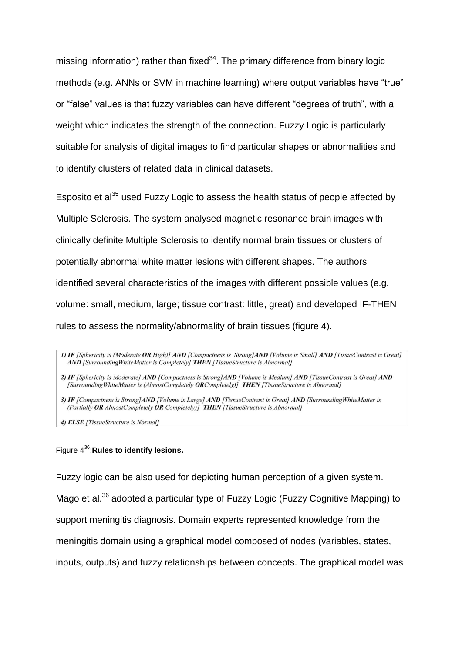missing information) rather than fixed<sup>34</sup>. The primary difference from binary logic methods (e.g. ANNs or SVM in machine learning) where output variables have "true" or "false" values is that fuzzy variables can have different "degrees of truth", with a weight which indicates the strength of the connection. Fuzzy Logic is particularly suitable for analysis of digital images to find particular shapes or abnormalities and to identify clusters of related data in clinical datasets.

Esposito et al<sup>35</sup> used Fuzzy Logic to assess the health status of people affected by Multiple Sclerosis. The system analysed magnetic resonance brain images with clinically definite Multiple Sclerosis to identify normal brain tissues or clusters of potentially abnormal white matter lesions with different shapes. The authors identified several characteristics of the images with different possible values (e.g. volume: small, medium, large; tissue contrast: little, great) and developed IF-THEN rules to assess the normality/abnormality of brain tissues (figure 4).

2) IF [Sphericity is Moderate] AND [Compactness is Strong]AND [Volume is Medium] AND [TissueContrast is Great] AND [Surrounding WhiteMatter is (AlmostCompletely ORCompletely)] THEN [TissueStructure is Abnormal]

3) IF [Compactness is Strong]AND [Volume is Large] AND [TissueContrast is Great] AND [Surrounding WhiteMatter is (Partially OR AlmostCompletely OR Completely)] THEN [TissueStructure is Abnormal]

4) ELSE [TissueStructure is Normal]

# Figure 4 <sup>36</sup>:**Rules to identify lesions.**

Fuzzy logic can be also used for depicting human perception of a given system.

Mago et al.<sup>36</sup> adopted a particular type of Fuzzy Logic (Fuzzy Cognitive Mapping) to

support meningitis diagnosis. Domain experts represented knowledge from the

meningitis domain using a graphical model composed of nodes (variables, states,

inputs, outputs) and fuzzy relationships between concepts. The graphical model was

<sup>1)</sup> IF [Sphericity is (Moderate OR High)] AND [Compactness is Strong]AND [Volume is Small] AND [TissueContrast is Great] AND [Surrounding White Matter is Completely] THEN [TissueStructure is Abnormal]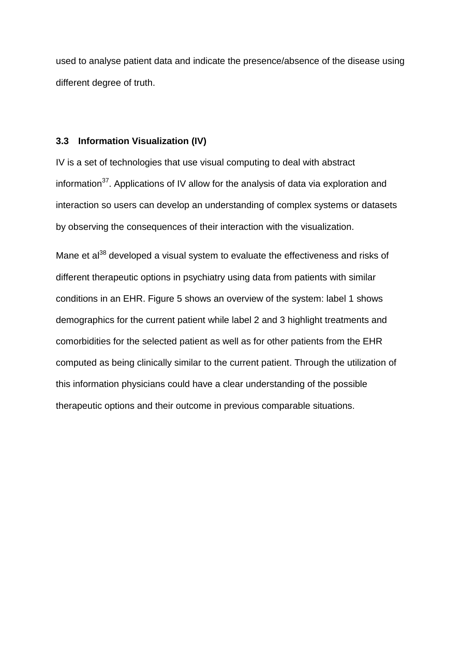used to analyse patient data and indicate the presence/absence of the disease using different degree of truth.

# **3.3 Information Visualization (IV)**

IV is a set of technologies that use visual computing to deal with abstract information<sup>37</sup>. Applications of IV allow for the analysis of data via exploration and interaction so users can develop an understanding of complex systems or datasets by observing the consequences of their interaction with the visualization.

Mane et  $a^{38}$  developed a visual system to evaluate the effectiveness and risks of different therapeutic options in psychiatry using data from patients with similar conditions in an EHR. Figure 5 shows an overview of the system: label 1 shows demographics for the current patient while label 2 and 3 highlight treatments and comorbidities for the selected patient as well as for other patients from the EHR computed as being clinically similar to the current patient. Through the utilization of this information physicians could have a clear understanding of the possible therapeutic options and their outcome in previous comparable situations.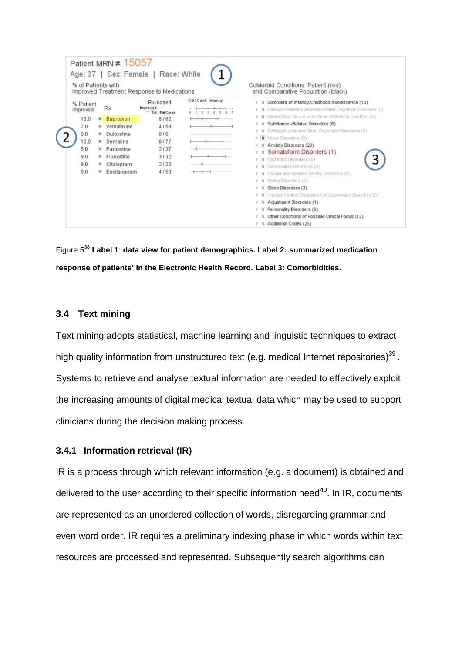|                               |                | % of Patients with        | Improved Treatment Response to Medications      |                    | CoMorbid Conditions: Patient (red)<br>and Comparative Population (black)                                                                                                               |
|-------------------------------|----------------|---------------------------|-------------------------------------------------|--------------------|----------------------------------------------------------------------------------------------------------------------------------------------------------------------------------------|
| % Patient<br>improved<br>13.0 | ۰              | Rx<br><b>Bupropion</b>    | Rx-based<br>Improved.<br>Tot. Pat Count<br>8/62 | CGI Conf. Interval | Disorders of Infancy/Childhood Adolescence (10)<br>$Y - N$<br>Delirium Dementia Amnestic/Other Cognitive Disorders (0)<br>Y N<br>Mental Disorders due to General Medical Condition (0) |
| 7.0<br>0.0                    | ۰<br>$\circ$   | Venlafaxine<br>Duloxetine | 4/58<br>010                                     |                    | Substance -Related Disorders (6)<br>Y N Schizophrenia and Other Psychotic Disorders (0)                                                                                                |
| 10.0<br>50                    | $\bullet$<br>٠ | Sertraline<br>Paroxetine  | 8/77<br>2/37                                    |                    | V N Mood Disorders (0)<br>Anxiety Disorders (20)<br>Somatoform Disorders (1)<br>$Y - N$                                                                                                |
| 9.0<br>9.0                    | ۰<br>۰         | Fluoxetine<br>Citalopram  | 3/32<br>2122                                    |                    | Factitious Disorders (0)<br>Y N<br>Dissociative Disorders (0)                                                                                                                          |
| 8.0                           | ۰              | Escitalopram              | 4/53                                            |                    | Sexual and Gender Identity Disorders (0).<br>Eating Disorders (0)<br>Y N                                                                                                               |
|                               |                |                           |                                                 |                    | Sleep Disorders (3)<br>Impulse Control Disorders Not Elsewhere Classified (0)<br>Y N                                                                                                   |

Figure 5 <sup>38</sup>:**Label 1**: **data view for patient demographics. Label 2: summarized medication response of patients' in the Electronic Health Record. Label 3: Comorbidities.**

# **3.4 Text mining**

Text mining adopts statistical, machine learning and linguistic techniques to extract high quality information from unstructured text (e.g. medical Internet repositories)<sup>39</sup>. Systems to retrieve and analyse textual information are needed to effectively exploit the increasing amounts of digital medical textual data which may be used to support clinicians during the decision making process.

# **3.4.1 Information retrieval (IR)**

IR is a process through which relevant information (e.g. a document) is obtained and delivered to the user according to their specific information need $^{40}$ . In IR, documents are represented as an unordered collection of words, disregarding grammar and even word order. IR requires a preliminary indexing phase in which words within text resources are processed and represented. Subsequently search algorithms can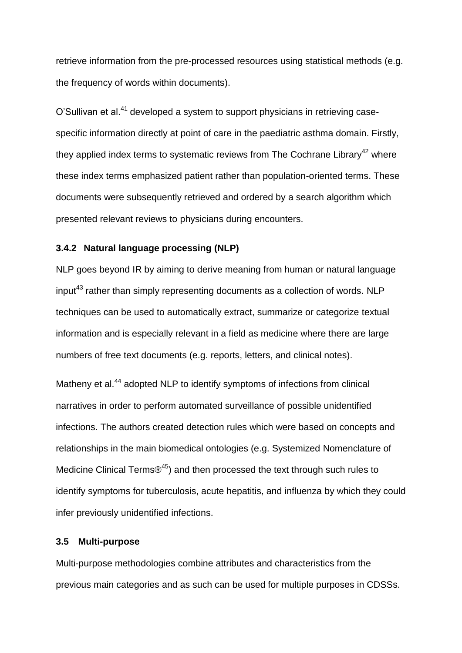retrieve information from the pre-processed resources using statistical methods (e.g. the frequency of words within documents).

O'Sullivan et al.<sup>41</sup> developed a system to support physicians in retrieving casespecific information directly at point of care in the paediatric asthma domain. Firstly, they applied index terms to systematic reviews from The Cochrane Library<sup>42</sup> where these index terms emphasized patient rather than population-oriented terms. These documents were subsequently retrieved and ordered by a search algorithm which presented relevant reviews to physicians during encounters.

# **3.4.2 Natural language processing (NLP)**

NLP goes beyond IR by aiming to derive meaning from human or natural language  $input^{43}$  rather than simply representing documents as a collection of words. NLP techniques can be used to automatically extract, summarize or categorize textual information and is especially relevant in a field as medicine where there are large numbers of free text documents (e.g. reports, letters, and clinical notes).

Matheny et al.<sup>44</sup> adopted NLP to identify symptoms of infections from clinical narratives in order to perform automated surveillance of possible unidentified infections. The authors created detection rules which were based on concepts and relationships in the main biomedical ontologies (e.g. Systemized Nomenclature of Medicine Clinical Terms $\mathcal{B}^{45}$ ) and then processed the text through such rules to identify symptoms for tuberculosis, acute hepatitis, and influenza by which they could infer previously unidentified infections.

# **3.5 Multi-purpose**

Multi-purpose methodologies combine attributes and characteristics from the previous main categories and as such can be used for multiple purposes in CDSSs.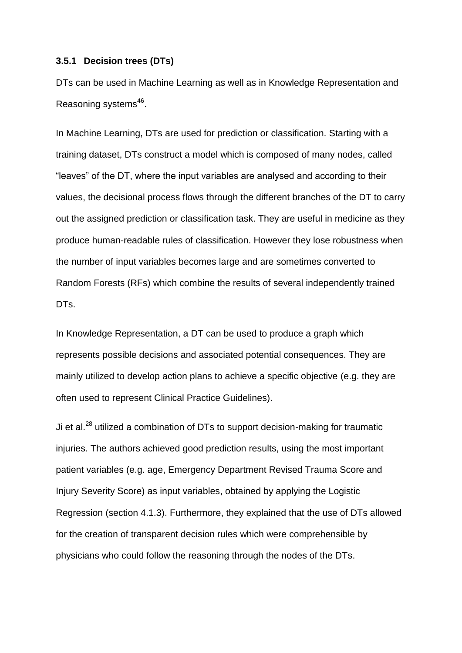#### **3.5.1 Decision trees (DTs)**

DTs can be used in Machine Learning as well as in Knowledge Representation and Reasoning systems<sup>46</sup>.

In Machine Learning, DTs are used for prediction or classification. Starting with a training dataset, DTs construct a model which is composed of many nodes, called "leaves" of the DT, where the input variables are analysed and according to their values, the decisional process flows through the different branches of the DT to carry out the assigned prediction or classification task. They are useful in medicine as they produce human-readable rules of classification. However they lose robustness when the number of input variables becomes large and are sometimes converted to Random Forests (RFs) which combine the results of several independently trained DT<sub>s</sub>.

In Knowledge Representation, a DT can be used to produce a graph which represents possible decisions and associated potential consequences. They are mainly utilized to develop action plans to achieve a specific objective (e.g. they are often used to represent Clinical Practice Guidelines).

Ji et al. $^{28}$  utilized a combination of DTs to support decision-making for traumatic injuries. The authors achieved good prediction results, using the most important patient variables (e.g. age, Emergency Department Revised Trauma Score and Injury Severity Score) as input variables, obtained by applying the Logistic Regression (section 4.1.3). Furthermore, they explained that the use of DTs allowed for the creation of transparent decision rules which were comprehensible by physicians who could follow the reasoning through the nodes of the DTs.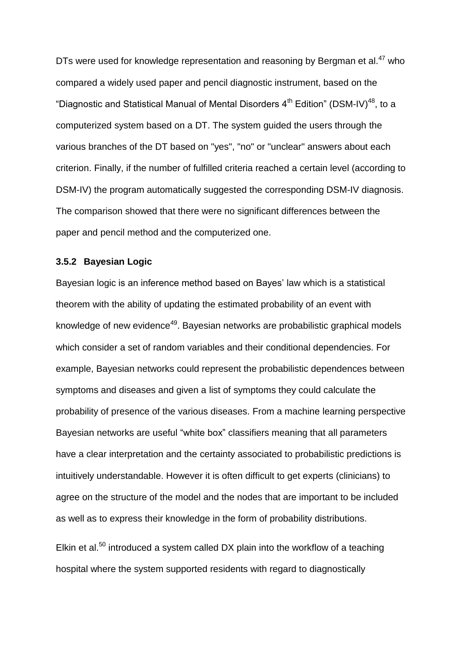DTs were used for knowledge representation and reasoning by Bergman et al.<sup>47</sup> who compared a widely used paper and pencil diagnostic instrument, based on the "Diagnostic and Statistical Manual of Mental Disorders  $4<sup>th</sup>$  Edition" (DSM-IV)<sup>48</sup>, to a computerized system based on a DT. The system guided the users through the various branches of the DT based on "yes", "no" or "unclear" answers about each criterion. Finally, if the number of fulfilled criteria reached a certain level (according to DSM-IV) the program automatically suggested the corresponding DSM-IV diagnosis. The comparison showed that there were no significant differences between the paper and pencil method and the computerized one.

# **3.5.2 Bayesian Logic**

Bayesian logic is an inference method based on Bayes' law which is a statistical theorem with the ability of updating the estimated probability of an event with knowledge of new evidence<sup>49</sup>. Bayesian networks are probabilistic graphical models which consider a set of random variables and their conditional dependencies. For example, Bayesian networks could represent the probabilistic dependences between symptoms and diseases and given a list of symptoms they could calculate the probability of presence of the various diseases. From a machine learning perspective Bayesian networks are useful "white box" classifiers meaning that all parameters have a clear interpretation and the certainty associated to probabilistic predictions is intuitively understandable. However it is often difficult to get experts (clinicians) to agree on the structure of the model and the nodes that are important to be included as well as to express their knowledge in the form of probability distributions.

Elkin et al. $50$  introduced a system called DX plain into the workflow of a teaching hospital where the system supported residents with regard to diagnostically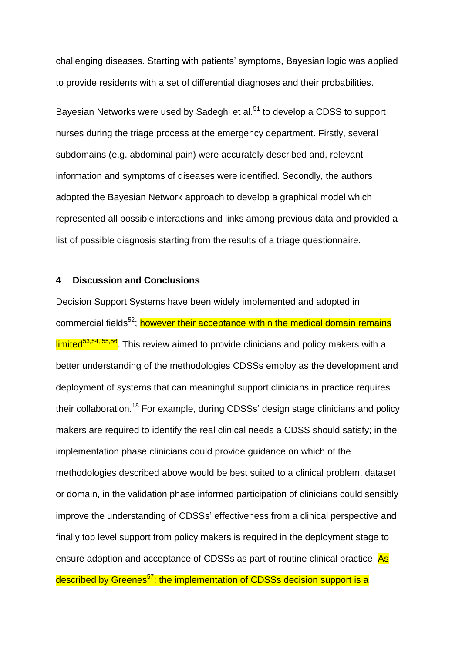challenging diseases. Starting with patients' symptoms, Bayesian logic was applied to provide residents with a set of differential diagnoses and their probabilities.

Bayesian Networks were used by Sadeghi et al.<sup>51</sup> to develop a CDSS to support nurses during the triage process at the emergency department. Firstly, several subdomains (e.g. abdominal pain) were accurately described and, relevant information and symptoms of diseases were identified. Secondly, the authors adopted the Bayesian Network approach to develop a graphical model which represented all possible interactions and links among previous data and provided a list of possible diagnosis starting from the results of a triage questionnaire.

# **4 Discussion and Conclusions**

Decision Support Systems have been widely implemented and adopted in commercial fields<sup>52</sup>; however their acceptance within the medical domain remains limited<sup>53,54, 55,56</sup>. This review aimed to provide clinicians and policy makers with a better understanding of the methodologies CDSSs employ as the development and deployment of systems that can meaningful support clinicians in practice requires their collaboration.<sup>18</sup> For example, during CDSSs' design stage clinicians and policy makers are required to identify the real clinical needs a CDSS should satisfy; in the implementation phase clinicians could provide guidance on which of the methodologies described above would be best suited to a clinical problem, dataset or domain, in the validation phase informed participation of clinicians could sensibly improve the understanding of CDSSs' effectiveness from a clinical perspective and finally top level support from policy makers is required in the deployment stage to ensure adoption and acceptance of CDSSs as part of routine clinical practice. As described by Greenes<sup>57</sup>; the implementation of CDSSs decision support is a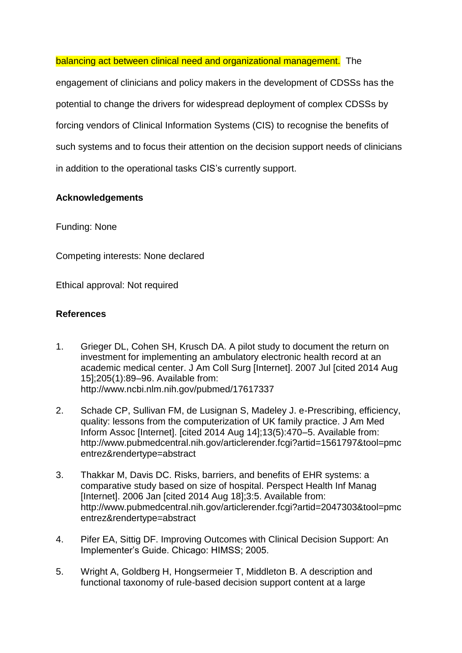balancing act between clinical need and organizational management. The

engagement of clinicians and policy makers in the development of CDSSs has the potential to change the drivers for widespread deployment of complex CDSSs by forcing vendors of Clinical Information Systems (CIS) to recognise the benefits of such systems and to focus their attention on the decision support needs of clinicians in addition to the operational tasks CIS's currently support.

# **Acknowledgements**

Funding: None

Competing interests: None declared

Ethical approval: Not required

# **References**

- 1. Grieger DL, Cohen SH, Krusch DA. A pilot study to document the return on investment for implementing an ambulatory electronic health record at an academic medical center. J Am Coll Surg [Internet]. 2007 Jul [cited 2014 Aug 15];205(1):89–96. Available from: http://www.ncbi.nlm.nih.gov/pubmed/17617337
- 2. Schade CP, Sullivan FM, de Lusignan S, Madeley J. e-Prescribing, efficiency, quality: lessons from the computerization of UK family practice. J Am Med Inform Assoc [Internet]. [cited 2014 Aug 14];13(5):470–5. Available from: http://www.pubmedcentral.nih.gov/articlerender.fcgi?artid=1561797&tool=pmc entrez&rendertype=abstract
- 3. Thakkar M, Davis DC. Risks, barriers, and benefits of EHR systems: a comparative study based on size of hospital. Perspect Health Inf Manag [Internet]. 2006 Jan [cited 2014 Aug 18];3:5. Available from: http://www.pubmedcentral.nih.gov/articlerender.fcgi?artid=2047303&tool=pmc entrez&rendertype=abstract
- 4. Pifer EA, Sittig DF. Improving Outcomes with Clinical Decision Support: An Implementer's Guide. Chicago: HIMSS; 2005.
- 5. Wright A, Goldberg H, Hongsermeier T, Middleton B. A description and functional taxonomy of rule-based decision support content at a large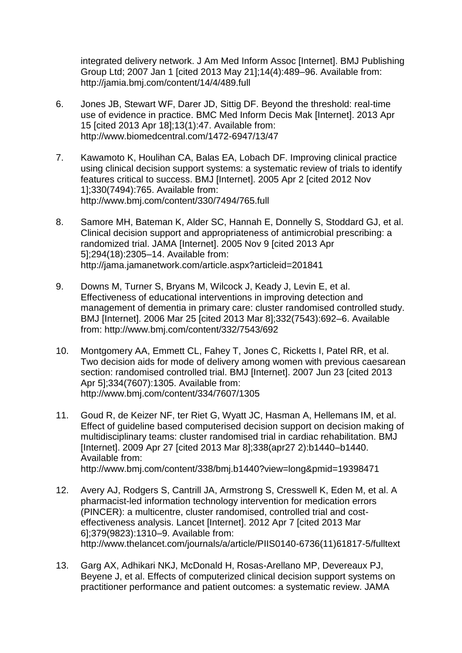integrated delivery network. J Am Med Inform Assoc [Internet]. BMJ Publishing Group Ltd; 2007 Jan 1 [cited 2013 May 21];14(4):489–96. Available from: http://jamia.bmj.com/content/14/4/489.full

- 6. Jones JB, Stewart WF, Darer JD, Sittig DF. Beyond the threshold: real-time use of evidence in practice. BMC Med Inform Decis Mak [Internet]. 2013 Apr 15 [cited 2013 Apr 18];13(1):47. Available from: http://www.biomedcentral.com/1472-6947/13/47
- 7. Kawamoto K, Houlihan CA, Balas EA, Lobach DF. Improving clinical practice using clinical decision support systems: a systematic review of trials to identify features critical to success. BMJ [Internet]. 2005 Apr 2 [cited 2012 Nov 1];330(7494):765. Available from: http://www.bmj.com/content/330/7494/765.full
- 8. Samore MH, Bateman K, Alder SC, Hannah E, Donnelly S, Stoddard GJ, et al. Clinical decision support and appropriateness of antimicrobial prescribing: a randomized trial. JAMA [Internet]. 2005 Nov 9 [cited 2013 Apr 5];294(18):2305–14. Available from: http://jama.jamanetwork.com/article.aspx?articleid=201841
- 9. Downs M, Turner S, Bryans M, Wilcock J, Keady J, Levin E, et al. Effectiveness of educational interventions in improving detection and management of dementia in primary care: cluster randomised controlled study. BMJ [Internet]. 2006 Mar 25 [cited 2013 Mar 8];332(7543):692–6. Available from: http://www.bmj.com/content/332/7543/692
- 10. Montgomery AA, Emmett CL, Fahey T, Jones C, Ricketts I, Patel RR, et al. Two decision aids for mode of delivery among women with previous caesarean section: randomised controlled trial. BMJ [Internet]. 2007 Jun 23 [cited 2013 Apr 5];334(7607):1305. Available from: http://www.bmj.com/content/334/7607/1305
- 11. Goud R, de Keizer NF, ter Riet G, Wyatt JC, Hasman A, Hellemans IM, et al. Effect of guideline based computerised decision support on decision making of multidisciplinary teams: cluster randomised trial in cardiac rehabilitation. BMJ [Internet]. 2009 Apr 27 [cited 2013 Mar 8];338(apr27 2):b1440–b1440. Available from: http://www.bmj.com/content/338/bmj.b1440?view=long&pmid=19398471
- 12. Avery AJ, Rodgers S, Cantrill JA, Armstrong S, Cresswell K, Eden M, et al. A pharmacist-led information technology intervention for medication errors (PINCER): a multicentre, cluster randomised, controlled trial and costeffectiveness analysis. Lancet [Internet]. 2012 Apr 7 [cited 2013 Mar 6];379(9823):1310–9. Available from: http://www.thelancet.com/journals/a/article/PIIS0140-6736(11)61817-5/fulltext
- 13. Garg AX, Adhikari NKJ, McDonald H, Rosas-Arellano MP, Devereaux PJ, Beyene J, et al. Effects of computerized clinical decision support systems on practitioner performance and patient outcomes: a systematic review. JAMA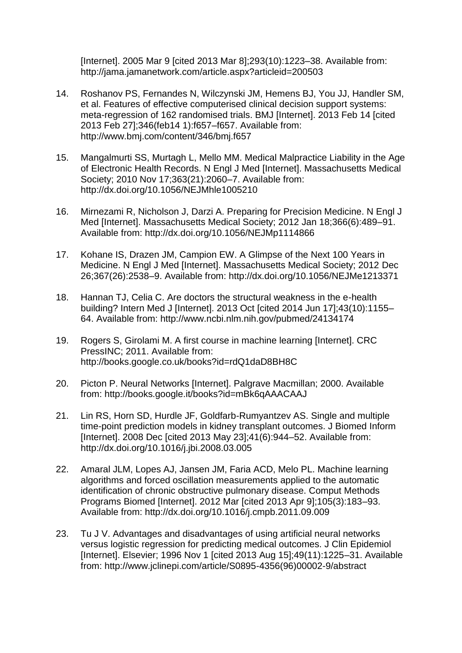[Internet]. 2005 Mar 9 [cited 2013 Mar 8];293(10):1223–38. Available from: http://jama.jamanetwork.com/article.aspx?articleid=200503

- 14. Roshanov PS, Fernandes N, Wilczynski JM, Hemens BJ, You JJ, Handler SM, et al. Features of effective computerised clinical decision support systems: meta-regression of 162 randomised trials. BMJ [Internet]. 2013 Feb 14 [cited 2013 Feb 27];346(feb14 1):f657–f657. Available from: http://www.bmj.com/content/346/bmj.f657
- 15. Mangalmurti SS, Murtagh L, Mello MM. Medical Malpractice Liability in the Age of Electronic Health Records. N Engl J Med [Internet]. Massachusetts Medical Society; 2010 Nov 17;363(21):2060–7. Available from: http://dx.doi.org/10.1056/NEJMhle1005210
- 16. Mirnezami R, Nicholson J, Darzi A. Preparing for Precision Medicine. N Engl J Med [Internet]. Massachusetts Medical Society; 2012 Jan 18;366(6):489–91. Available from: http://dx.doi.org/10.1056/NEJMp1114866
- 17. Kohane IS, Drazen JM, Campion EW. A Glimpse of the Next 100 Years in Medicine. N Engl J Med [Internet]. Massachusetts Medical Society; 2012 Dec 26;367(26):2538–9. Available from: http://dx.doi.org/10.1056/NEJMe1213371
- 18. Hannan TJ, Celia C. Are doctors the structural weakness in the e-health building? Intern Med J [Internet]. 2013 Oct [cited 2014 Jun 17];43(10):1155– 64. Available from: http://www.ncbi.nlm.nih.gov/pubmed/24134174
- 19. Rogers S, Girolami M. A first course in machine learning [Internet]. CRC PressINC; 2011. Available from: http://books.google.co.uk/books?id=rdQ1daD8BH8C
- 20. Picton P. Neural Networks [Internet]. Palgrave Macmillan; 2000. Available from: http://books.google.it/books?id=mBk6qAAACAAJ
- 21. Lin RS, Horn SD, Hurdle JF, Goldfarb-Rumyantzev AS. Single and multiple time-point prediction models in kidney transplant outcomes. J Biomed Inform [Internet]. 2008 Dec [cited 2013 May 23];41(6):944–52. Available from: http://dx.doi.org/10.1016/j.jbi.2008.03.005
- 22. Amaral JLM, Lopes AJ, Jansen JM, Faria ACD, Melo PL. Machine learning algorithms and forced oscillation measurements applied to the automatic identification of chronic obstructive pulmonary disease. Comput Methods Programs Biomed [Internet]. 2012 Mar [cited 2013 Apr 9];105(3):183–93. Available from: http://dx.doi.org/10.1016/j.cmpb.2011.09.009
- 23. Tu J V. Advantages and disadvantages of using artificial neural networks versus logistic regression for predicting medical outcomes. J Clin Epidemiol [Internet]. Elsevier; 1996 Nov 1 [cited 2013 Aug 15];49(11):1225–31. Available from: http://www.jclinepi.com/article/S0895-4356(96)00002-9/abstract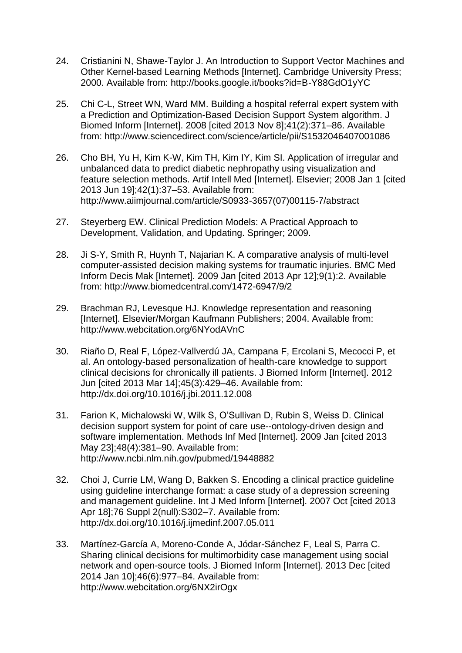- 24. Cristianini N, Shawe-Taylor J. An Introduction to Support Vector Machines and Other Kernel-based Learning Methods [Internet]. Cambridge University Press; 2000. Available from: http://books.google.it/books?id=B-Y88GdO1yYC
- 25. Chi C-L, Street WN, Ward MM. Building a hospital referral expert system with a Prediction and Optimization-Based Decision Support System algorithm. J Biomed Inform [Internet]. 2008 [cited 2013 Nov 8];41(2):371–86. Available from: http://www.sciencedirect.com/science/article/pii/S1532046407001086
- 26. Cho BH, Yu H, Kim K-W, Kim TH, Kim IY, Kim SI. Application of irregular and unbalanced data to predict diabetic nephropathy using visualization and feature selection methods. Artif Intell Med [Internet]. Elsevier; 2008 Jan 1 [cited 2013 Jun 19];42(1):37–53. Available from: http://www.aiimjournal.com/article/S0933-3657(07)00115-7/abstract
- 27. Steyerberg EW. Clinical Prediction Models: A Practical Approach to Development, Validation, and Updating. Springer; 2009.
- 28. Ji S-Y, Smith R, Huynh T, Najarian K. A comparative analysis of multi-level computer-assisted decision making systems for traumatic injuries. BMC Med Inform Decis Mak [Internet]. 2009 Jan [cited 2013 Apr 12];9(1):2. Available from: http://www.biomedcentral.com/1472-6947/9/2
- 29. Brachman RJ, Levesque HJ. Knowledge representation and reasoning [Internet]. Elsevier/Morgan Kaufmann Publishers; 2004. Available from: http://www.webcitation.org/6NYodAVnC
- 30. Riaño D, Real F, López-Vallverdú JA, Campana F, Ercolani S, Mecocci P, et al. An ontology-based personalization of health-care knowledge to support clinical decisions for chronically ill patients. J Biomed Inform [Internet]. 2012 Jun [cited 2013 Mar 14];45(3):429–46. Available from: http://dx.doi.org/10.1016/j.jbi.2011.12.008
- 31. Farion K, Michalowski W, Wilk S, O'Sullivan D, Rubin S, Weiss D. Clinical decision support system for point of care use--ontology-driven design and software implementation. Methods Inf Med [Internet]. 2009 Jan [cited 2013 May 23];48(4):381–90. Available from: http://www.ncbi.nlm.nih.gov/pubmed/19448882
- 32. Choi J, Currie LM, Wang D, Bakken S. Encoding a clinical practice guideline using guideline interchange format: a case study of a depression screening and management guideline. Int J Med Inform [Internet]. 2007 Oct [cited 2013 Apr 18];76 Suppl 2(null):S302–7. Available from: http://dx.doi.org/10.1016/j.ijmedinf.2007.05.011
- 33. Martínez-García A, Moreno-Conde A, Jódar-Sánchez F, Leal S, Parra C. Sharing clinical decisions for multimorbidity case management using social network and open-source tools. J Biomed Inform [Internet]. 2013 Dec [cited 2014 Jan 10];46(6):977–84. Available from: http://www.webcitation.org/6NX2irOgx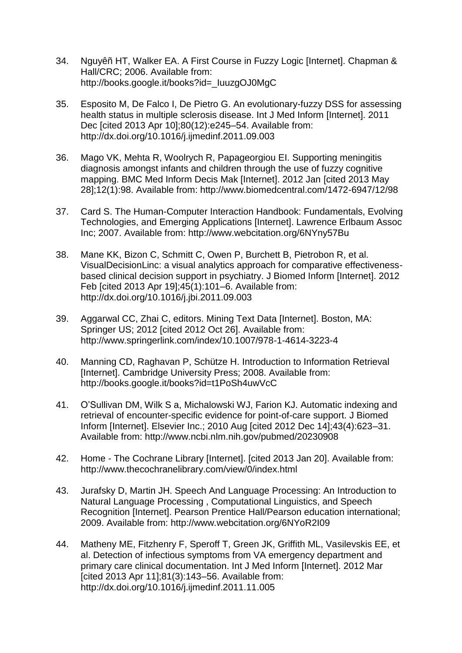- 34. Nguyêñ HT, Walker EA. A First Course in Fuzzy Logic [Internet]. Chapman & Hall/CRC; 2006. Available from: http://books.google.it/books?id=\_IuuzgOJ0MgC
- 35. Esposito M, De Falco I, De Pietro G. An evolutionary-fuzzy DSS for assessing health status in multiple sclerosis disease. Int J Med Inform [Internet]. 2011 Dec [cited 2013 Apr 10];80(12):e245–54. Available from: http://dx.doi.org/10.1016/j.ijmedinf.2011.09.003
- 36. Mago VK, Mehta R, Woolrych R, Papageorgiou EI. Supporting meningitis diagnosis amongst infants and children through the use of fuzzy cognitive mapping. BMC Med Inform Decis Mak [Internet]. 2012 Jan [cited 2013 May 28];12(1):98. Available from: http://www.biomedcentral.com/1472-6947/12/98
- 37. Card S. The Human-Computer Interaction Handbook: Fundamentals, Evolving Technologies, and Emerging Applications [Internet]. Lawrence Erlbaum Assoc Inc; 2007. Available from: http://www.webcitation.org/6NYny57Bu
- 38. Mane KK, Bizon C, Schmitt C, Owen P, Burchett B, Pietrobon R, et al. VisualDecisionLinc: a visual analytics approach for comparative effectivenessbased clinical decision support in psychiatry. J Biomed Inform [Internet]. 2012 Feb [cited 2013 Apr 19];45(1):101–6. Available from: http://dx.doi.org/10.1016/j.jbi.2011.09.003
- 39. Aggarwal CC, Zhai C, editors. Mining Text Data [Internet]. Boston, MA: Springer US: 2012 [cited 2012 Oct 26]. Available from: http://www.springerlink.com/index/10.1007/978-1-4614-3223-4
- 40. Manning CD, Raghavan P, Schütze H. Introduction to Information Retrieval [Internet]. Cambridge University Press; 2008. Available from: http://books.google.it/books?id=t1PoSh4uwVcC
- 41. O'Sullivan DM, Wilk S a, Michalowski WJ, Farion KJ. Automatic indexing and retrieval of encounter-specific evidence for point-of-care support. J Biomed Inform [Internet]. Elsevier Inc.; 2010 Aug [cited 2012 Dec 14];43(4):623–31. Available from: http://www.ncbi.nlm.nih.gov/pubmed/20230908
- 42. Home The Cochrane Library [Internet]. [cited 2013 Jan 20]. Available from: http://www.thecochranelibrary.com/view/0/index.html
- 43. Jurafsky D, Martin JH. Speech And Language Processing: An Introduction to Natural Language Processing , Computational Linguistics, and Speech Recognition [Internet]. Pearson Prentice Hall/Pearson education international; 2009. Available from: http://www.webcitation.org/6NYoR2I09
- 44. Matheny ME, Fitzhenry F, Speroff T, Green JK, Griffith ML, Vasilevskis EE, et al. Detection of infectious symptoms from VA emergency department and primary care clinical documentation. Int J Med Inform [Internet]. 2012 Mar [cited 2013 Apr 11];81(3):143–56. Available from: http://dx.doi.org/10.1016/j.ijmedinf.2011.11.005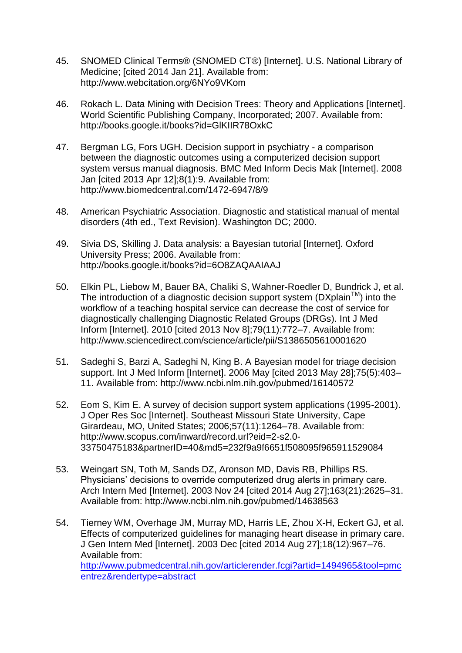- 45. SNOMED Clinical Terms® (SNOMED CT®) [Internet]. U.S. National Library of Medicine; [cited 2014 Jan 21]. Available from: http://www.webcitation.org/6NYo9VKom
- 46. Rokach L. Data Mining with Decision Trees: Theory and Applications [Internet]. World Scientific Publishing Company, Incorporated; 2007. Available from: http://books.google.it/books?id=GlKIIR78OxkC
- 47. Bergman LG, Fors UGH. Decision support in psychiatry a comparison between the diagnostic outcomes using a computerized decision support system versus manual diagnosis. BMC Med Inform Decis Mak [Internet]. 2008 Jan [cited 2013 Apr 12];8(1):9. Available from: http://www.biomedcentral.com/1472-6947/8/9
- 48. American Psychiatric Association. Diagnostic and statistical manual of mental disorders (4th ed., Text Revision). Washington DC; 2000.
- 49. Sivia DS, Skilling J. Data analysis: a Bayesian tutorial [Internet]. Oxford University Press; 2006. Available from: http://books.google.it/books?id=6O8ZAQAAIAAJ
- 50. Elkin PL, Liebow M, Bauer BA, Chaliki S, Wahner-Roedler D, Bundrick J, et al. The introduction of a diagnostic decision support system ( $DXplain^{TM}$ ) into the workflow of a teaching hospital service can decrease the cost of service for diagnostically challenging Diagnostic Related Groups (DRGs). Int J Med Inform [Internet]. 2010 [cited 2013 Nov 8];79(11):772–7. Available from: http://www.sciencedirect.com/science/article/pii/S1386505610001620
- 51. Sadeghi S, Barzi A, Sadeghi N, King B. A Bayesian model for triage decision support. Int J Med Inform [Internet]. 2006 May [cited 2013 May 28];75(5):403– 11. Available from: http://www.ncbi.nlm.nih.gov/pubmed/16140572
- 52. Eom S, Kim E. A survey of decision support system applications (1995-2001). J Oper Res Soc [Internet]. Southeast Missouri State University, Cape Girardeau, MO, United States; 2006;57(11):1264–78. Available from: http://www.scopus.com/inward/record.url?eid=2-s2.0- 33750475183&partnerID=40&md5=232f9a9f6651f508095f965911529084
- 53. Weingart SN, Toth M, Sands DZ, Aronson MD, Davis RB, Phillips RS. Physicians' decisions to override computerized drug alerts in primary care. Arch Intern Med [Internet]. 2003 Nov 24 [cited 2014 Aug 27];163(21):2625–31. Available from: http://www.ncbi.nlm.nih.gov/pubmed/14638563
- 54. Tierney WM, Overhage JM, Murray MD, Harris LE, Zhou X-H, Eckert GJ, et al. Effects of computerized guidelines for managing heart disease in primary care. J Gen Intern Med [Internet]. 2003 Dec [cited 2014 Aug 27];18(12):967–76. Available from: [http://www.pubmedcentral.nih.gov/articlerender.fcgi?artid=1494965&tool=pmc](http://www.pubmedcentral.nih.gov/articlerender.fcgi?artid=1494965&tool=pmcentrez&rendertype=abstract) [entrez&rendertype=abstract](http://www.pubmedcentral.nih.gov/articlerender.fcgi?artid=1494965&tool=pmcentrez&rendertype=abstract)